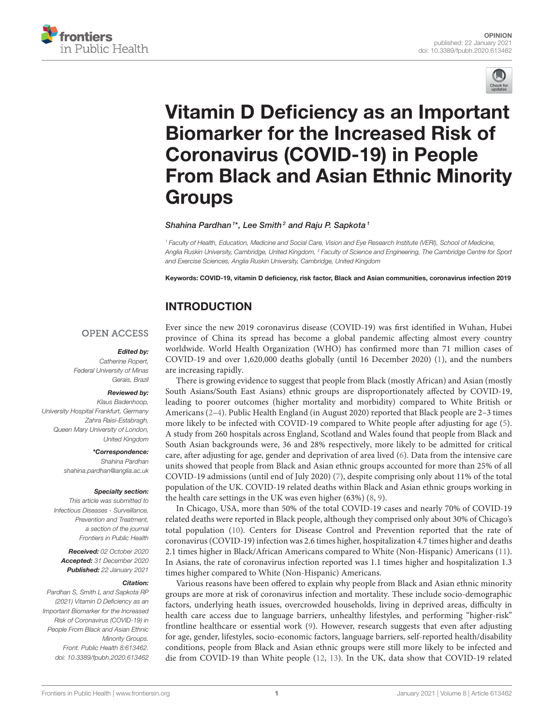



# Vitamin D Deficiency as an Important Biomarker for the Increased Risk of Coronavirus (COVID-19) in People [From Black and Asian Ethnic Minority](https://www.frontiersin.org/articles/10.3389/fpubh.2020.613462/full) Groups

### Shahina Pardhan<sup>1\*</sup>, Lee Smith<sup>2</sup> and Raju P. Sapkota<sup>1</sup>

*<sup>1</sup> Faculty of Health, Education, Medicine and Social Care, Vision and Eye Research Institute (VERI), School of Medicine, Anglia Ruskin University, Cambridge, United Kingdom, <sup>2</sup> Faculty of Science and Engineering, The Cambridge Centre for Sport and Exercise Sciences, Anglia Ruskin University, Cambridge, United Kingdom*

Keywords: COVID-19, vitamin D deficiency, risk factor, Black and Asian communities, coronavirus infection 2019

# INTRODUCTION

## **OPEN ACCESS**

### Edited by:

*Catherine Ropert, Federal University of Minas Gerais, Brazil*

### Reviewed by:

*Klaus Badenhoop, University Hospital Frankfurt, Germany Zahra Raisi-Estabragh, Queen Mary University of London, United Kingdom*

> \*Correspondence: *Shahina Pardhan [shahina.pardhan@anglia.ac.uk](mailto:shahina.pardhan@anglia.ac.uk)*

Specialty section: *This article was submitted to Infectious Diseases - Surveillance, Prevention and Treatment, a section of the journal Frontiers in Public Health*

Received: *02 October 2020* Accepted: *31 December 2020* Published: *22 January 2021*

### Citation:

*Pardhan S, Smith L and Sapkota RP (2021) Vitamin D Deficiency as an Important Biomarker for the Increased Risk of Coronavirus (COVID-19) in People From Black and Asian Ethnic Minority Groups. Front. Public Health 8:613462. doi: [10.3389/fpubh.2020.613462](https://doi.org/10.3389/fpubh.2020.613462)* Ever since the new 2019 coronavirus disease (COVID-19) was first identified in Wuhan, Hubei province of China its spread has become a global pandemic affecting almost every country worldwide. World Health Organization (WHO) has confirmed more than 71 million cases of COVID-19 and over 1,620,000 deaths globally (until 16 December 2020) [\(1\)](#page-2-0), and the numbers are increasing rapidly.

There is growing evidence to suggest that people from Black (mostly African) and Asian (mostly South Asians/South East Asians) ethnic groups are disproportionately affected by COVID-19, leading to poorer outcomes (higher mortality and morbidity) compared to White British or Americans [\(2–](#page-2-1)[4\)](#page-2-2). Public Health England (in August 2020) reported that Black people are 2–3 times more likely to be infected with COVID-19 compared to White people after adjusting for age [\(5\)](#page-2-3). A study from 260 hospitals across England, Scotland and Wales found that people from Black and South Asian backgrounds were, 36 and 28% respectively, more likely to be admitted for critical care, after adjusting for age, gender and deprivation of area lived [\(6\)](#page-2-4). Data from the intensive care units showed that people from Black and Asian ethnic groups accounted for more than 25% of all COVID-19 admissions (until end of July 2020) [\(7\)](#page-2-5), despite comprising only about 11% of the total population of the UK. COVID-19 related deaths within Black and Asian ethnic groups working in the health care settings in the UK was even higher (63%) [\(8,](#page-2-6) [9\)](#page-2-7).

In Chicago, USA, more than 50% of the total COVID-19 cases and nearly 70% of COVID-19 related deaths were reported in Black people, although they comprised only about 30% of Chicago's total population [\(10\)](#page-2-8). Centers for Disease Control and Prevention reported that the rate of coronavirus (COVID-19) infection was 2.6 times higher, hospitalization 4.7 times higher and deaths 2.1 times higher in Black/African Americans compared to White (Non-Hispanic) Americans [\(11\)](#page-2-9). In Asians, the rate of coronavirus infection reported was 1.1 times higher and hospitalization 1.3 times higher compared to White (Non-Hispanic) Americans.

Various reasons have been offered to explain why people from Black and Asian ethnic minority groups are more at risk of coronavirus infection and mortality. These include socio-demographic factors, underlying heath issues, overcrowded households, living in deprived areas, difficulty in health care access due to language barriers, unhealthy lifestyles, and performing "higher-risk" frontline healthcare or essential work [\(9\)](#page-2-7). However, research suggests that even after adjusting for age, gender, lifestyles, socio-economic factors, language barriers, self-reported health/disability conditions, people from Black and Asian ethnic groups were still more likely to be infected and die from COVID-19 than White people [\(12,](#page-2-10) [13\)](#page-2-11). In the UK, data show that COVID-19 related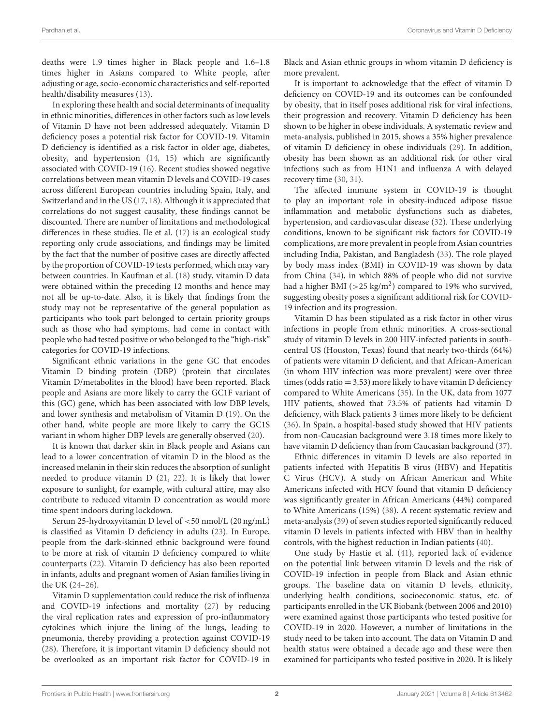deaths were 1.9 times higher in Black people and 1.6–1.8 times higher in Asians compared to White people, after adjusting or age, socio-economic characteristics and self-reported health/disability measures [\(13\)](#page-2-11).

In exploring these health and social determinants of inequality in ethnic minorities, differences in other factors such as low levels of Vitamin D have not been addressed adequately. Vitamin D deficiency poses a potential risk factor for COVID-19. Vitamin D deficiency is identified as a risk factor in older age, diabetes, obesity, and hypertension [\(14,](#page-2-12) [15\)](#page-2-13) which are significantly associated with COVID-19 [\(16\)](#page-2-14). Recent studies showed negative correlations between mean vitamin D levels and COVID-19 cases across different European countries including Spain, Italy, and Switzerland and in the US [\(17,](#page-2-15) [18\)](#page-2-16). Although it is appreciated that correlations do not suggest causality, these findings cannot be discounted. There are number of limitations and methodological differences in these studies. Ile et al. [\(17\)](#page-2-15) is an ecological study reporting only crude associations, and findings may be limited by the fact that the number of positive cases are directly affected by the proportion of COVID-19 tests performed, which may vary between countries. In Kaufman et al. [\(18\)](#page-2-16) study, vitamin D data were obtained within the preceding 12 months and hence may not all be up-to-date. Also, it is likely that findings from the study may not be representative of the general population as participants who took part belonged to certain priority groups such as those who had symptoms, had come in contact with people who had tested positive or who belonged to the "high-risk" categories for COVID-19 infections.

Significant ethnic variations in the gene GC that encodes Vitamin D binding protein (DBP) (protein that circulates Vitamin D/metabolites in the blood) have been reported. Black people and Asians are more likely to carry the GC1F variant of this (GC) gene, which has been associated with low DBP levels, and lower synthesis and metabolism of Vitamin D [\(19\)](#page-2-17). On the other hand, white people are more likely to carry the GC1S variant in whom higher DBP levels are generally observed [\(20\)](#page-2-18).

It is known that darker skin in Black people and Asians can lead to a lower concentration of vitamin D in the blood as the increased melanin in their skin reduces the absorption of sunlight needed to produce vitamin D [\(21,](#page-2-19) [22\)](#page-2-20). It is likely that lower exposure to sunlight, for example, with cultural attire, may also contribute to reduced vitamin D concentration as would more time spent indoors during lockdown.

Serum 25-hydroxyvitamin D level of <50 nmol/L (20 ng/mL) is classified as Vitamin D deficiency in adults [\(23\)](#page-2-21). In Europe, people from the dark-skinned ethnic background were found to be more at risk of vitamin D deficiency compared to white counterparts [\(22\)](#page-2-20). Vitamin D deficiency has also been reported in infants, adults and pregnant women of Asian families living in the UK [\(24–](#page-2-22)[26\)](#page-2-23).

Vitamin D supplementation could reduce the risk of influenza and COVID-19 infections and mortality [\(27\)](#page-2-24) by reducing the viral replication rates and expression of pro-inflammatory cytokines which injure the lining of the lungs, leading to pneumonia, thereby providing a protection against COVID-19 [\(28\)](#page-3-0). Therefore, it is important vitamin D deficiency should not be overlooked as an important risk factor for COVID-19 in Black and Asian ethnic groups in whom vitamin D deficiency is more prevalent.

It is important to acknowledge that the effect of vitamin D deficiency on COVID-19 and its outcomes can be confounded by obesity, that in itself poses additional risk for viral infections, their progression and recovery. Vitamin D deficiency has been shown to be higher in obese individuals. A systematic review and meta-analysis, published in 2015, shows a 35% higher prevalence of vitamin D deficiency in obese individuals [\(29\)](#page-3-1). In addition, obesity has been shown as an additional risk for other viral infections such as from H1N1 and influenza A with delayed recovery time [\(30,](#page-3-2) [31\)](#page-3-3).

The affected immune system in COVID-19 is thought to play an important role in obesity-induced adipose tissue inflammation and metabolic dysfunctions such as diabetes, hypertension, and cardiovascular disease [\(32\)](#page-3-4). These underlying conditions, known to be significant risk factors for COVID-19 complications, are more prevalent in people from Asian countries including India, Pakistan, and Bangladesh [\(33\)](#page-3-5). The role played by body mass index (BMI) in COVID-19 was shown by data from China [\(34\)](#page-3-6), in which 88% of people who did not survive had a higher BMI ( $>$ 25 kg/m<sup>2</sup>) compared to 19% who survived, suggesting obesity poses a significant additional risk for COVID-19 infection and its progression.

Vitamin D has been stipulated as a risk factor in other virus infections in people from ethnic minorities. A cross-sectional study of vitamin D levels in 200 HIV-infected patients in southcentral US (Houston, Texas) found that nearly two-thirds (64%) of patients were vitamin D deficient, and that African-American (in whom HIV infection was more prevalent) were over three times (odds ratio  $= 3.53$ ) more likely to have vitamin D deficiency compared to White Americans [\(35\)](#page-3-7). In the UK, data from 1077 HIV patients, showed that 73.5% of patients had vitamin D deficiency, with Black patients 3 times more likely to be deficient [\(36\)](#page-3-8). In Spain, a hospital-based study showed that HIV patients from non-Caucasian background were 3.18 times more likely to have vitamin D deficiency than from Caucasian background [\(37\)](#page-3-9).

Ethnic differences in vitamin D levels are also reported in patients infected with Hepatitis B virus (HBV) and Hepatitis C Virus (HCV). A study on African American and White Americans infected with HCV found that vitamin D deficiency was significantly greater in African Americans (44%) compared to White Americans (15%) [\(38\)](#page-3-10). A recent systematic review and meta-analysis [\(39\)](#page-3-11) of seven studies reported significantly reduced vitamin D levels in patients infected with HBV than in healthy controls, with the highest reduction in Indian patients [\(40\)](#page-3-12).

One study by Hastie et al. [\(41\)](#page-3-13), reported lack of evidence on the potential link between vitamin D levels and the risk of COVID-19 infection in people from Black and Asian ethnic groups. The baseline data on vitamin D levels, ethnicity, underlying health conditions, socioeconomic status, etc. of participants enrolled in the UK Biobank (between 2006 and 2010) were examined against those participants who tested positive for COVID-19 in 2020. However, a number of limitations in the study need to be taken into account. The data on Vitamin D and health status were obtained a decade ago and these were then examined for participants who tested positive in 2020. It is likely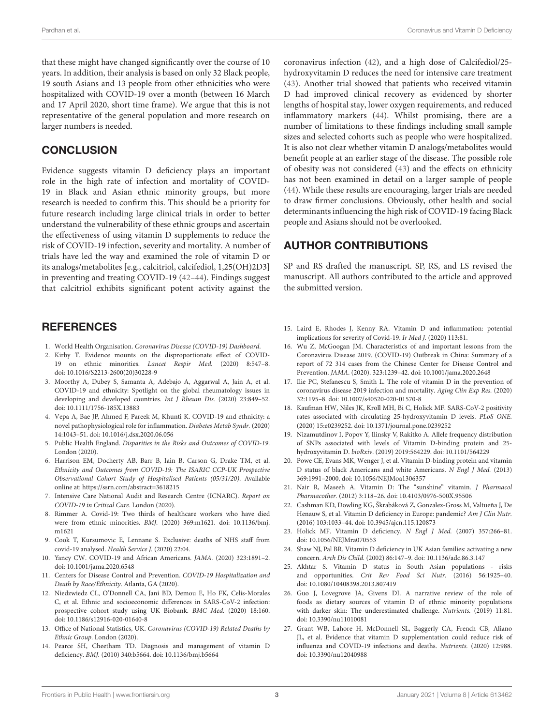that these might have changed significantly over the course of 10 years. In addition, their analysis is based on only 32 Black people, 19 south Asians and 13 people from other ethnicities who were hospitalized with COVID-19 over a month (between 16 March and 17 April 2020, short time frame). We argue that this is not representative of the general population and more research on larger numbers is needed.

# **CONCLUSION**

Evidence suggests vitamin D deficiency plays an important role in the high rate of infection and mortality of COVID-19 in Black and Asian ethnic minority groups, but more research is needed to confirm this. This should be a priority for future research including large clinical trials in order to better understand the vulnerability of these ethnic groups and ascertain the effectiveness of using vitamin D supplements to reduce the risk of COVID-19 infection, severity and mortality. A number of trials have led the way and examined the role of vitamin D or its analogs/metabolites [e.g., calcitriol, calcifediol, 1,25(OH)2D3] in preventing and treating COVID-19 [\(42–](#page-3-14)[44\)](#page-3-15). Findings suggest that calcitriol exhibits significant potent activity against the

# **REFERENCES**

- <span id="page-2-0"></span>1. World Health Organisation. Coronavirus Disease (COVID-19) Dashboard.
- <span id="page-2-1"></span>2. Kirby T. Evidence mounts on the disproportionate effect of COVID-19 on ethnic minorities. Lancet Respir Med. (2020) 8:547–8. doi: [10.1016/S2213-2600\(20\)30228-9](https://doi.org/10.1016/S2213-2600(20)30228-9)
- 3. Moorthy A, Dubey S, Samanta A, Adebajo A, Aggarwal A, Jain A, et al. COVID-19 and ethnicity: Spotlight on the global rheumatology issues in developing and developed countries. Int J Rheum Dis. (2020) 23:849–52. doi: [10.1111/1756-185X.13883](https://doi.org/10.1111/1756-185X.13883)
- <span id="page-2-2"></span>4. Vepa A, Bae JP, Ahmed F, Pareek M, Khunti K. COVID-19 and ethnicity: a novel pathophysiological role for inflammation. Diabetes Metab Syndr. (2020) 14:1043–51. doi: [10.1016/j.dsx.2020.06.056](https://doi.org/10.1016/j.dsx.2020.06.056)
- <span id="page-2-3"></span>5. Public Health England. Disparities in the Risks and Outcomes of COVID-19. London (2020).
- <span id="page-2-4"></span>6. Harrison EM, Docherty AB, Barr B, Iain B, Carson G, Drake TM, et al. Ethnicity and Outcomes from COVID-19: The ISARIC CCP-UK Prospective Observational Cohort Study of Hospitalised Patients (05/31/20). Available online at:<https://ssrn.com/abstract=3618215>
- <span id="page-2-5"></span>7. Intensive Care National Audit and Research Centre (ICNARC). Report on COVID-19 in Critical Care. London (2020).
- <span id="page-2-6"></span>8. Rimmer A. Covid-19: Two thirds of healthcare workers who have died were from ethnic minorities. BMJ. [\(2020\) 369:m1621. doi: 10.1136/bmj.](https://doi.org/10.1136/bmj.m1621) m1621
- <span id="page-2-7"></span>9. Cook T, Kursumovic E, Lennane S. Exclusive: deaths of NHS staff from covid-19 analysed. Health Service J. (2020) 22:04.
- <span id="page-2-8"></span>10. Yancy CW. COVID-19 and African Americans. JAMA. (2020) 323:1891–2. doi: [10.1001/jama.2020.6548](https://doi.org/10.1001/jama.2020.6548)
- <span id="page-2-9"></span>11. Centers for Disease Control and Prevention. COVID-19 Hospitalization and Death by Race/Ethnicity. Atlanta, GA (2020).
- <span id="page-2-10"></span>12. Niedzwiedz CL, O'Donnell CA, Jani BD, Demou E, Ho FK, Celis-Morales C, et al. Ethnic and socioeconomic differences in SARS-CoV-2 infection: prospective cohort study using UK Biobank. BMC Med. (2020) 18:160. doi: [10.1186/s12916-020-01640-8](https://doi.org/10.1186/s12916-020-01640-8)
- <span id="page-2-11"></span>13. Office of National Statistics, UK. Coronavirus (COVID-19) Related Deaths by Ethnic Group. London (2020).
- <span id="page-2-12"></span>14. Pearce SH, Cheetham TD. Diagnosis and management of vitamin D deficiency. BMJ. (2010) 340:b5664. doi: [10.1136/bmj.b5664](https://doi.org/10.1136/bmj.b5664)

coronavirus infection [\(42\)](#page-3-14), and a high dose of Calcifediol/25 hydroxyvitamin D reduces the need for intensive care treatment [\(43\)](#page-3-16). Another trial showed that patients who received vitamin D had improved clinical recovery as evidenced by shorter lengths of hospital stay, lower oxygen requirements, and reduced inflammatory markers [\(44\)](#page-3-15). Whilst promising, there are a number of limitations to these findings including small sample sizes and selected cohorts such as people who were hospitalized. It is also not clear whether vitamin D analogs/metabolites would benefit people at an earlier stage of the disease. The possible role of obesity was not considered [\(43\)](#page-3-16) and the effects on ethnicity has not been examined in detail on a larger sample of people [\(44\)](#page-3-15). While these results are encouraging, larger trials are needed to draw firmer conclusions. Obviously, other health and social determinants influencing the high risk of COVID-19 facing Black people and Asians should not be overlooked.

# AUTHOR CONTRIBUTIONS

SP and RS drafted the manuscript. SP, RS, and LS revised the manuscript. All authors contributed to the article and approved the submitted version.

- <span id="page-2-13"></span>15. Laird E, Rhodes J, Kenny RA. Vitamin D and inflammation: potential implications for severity of Covid-19. Ir Med J. (2020) 113:81.
- <span id="page-2-14"></span>16. Wu Z, McGoogan JM. Characteristics of and important lessons from the Coronavirus Disease 2019. (COVID-19) Outbreak in China: Summary of a report of 72 314 cases from the Chinese Center for Disease Control and Prevention. JAMA. (2020). 323:1239–42. doi: [10.1001/jama.2020.2648](https://doi.org/10.1001/jama.2020.2648)
- <span id="page-2-15"></span>17. Ilie PC, Stefanescu S, Smith L. The role of vitamin D in the prevention of coronavirus disease 2019 infection and mortality. Aging Clin Exp Res. (2020) 32:1195–8. doi: [10.1007/s40520-020-01570-8](https://doi.org/10.1007/s40520-020-01570-8)
- <span id="page-2-16"></span>18. Kaufman HW, Niles JK, Kroll MH, Bi C, Holick MF. SARS-CoV-2 positivity rates associated with circulating 25-hydroxyvitamin D levels. PLoS ONE. (2020) 15:e0239252. doi: [10.1371/journal.pone.0239252](https://doi.org/10.1371/journal.pone.0239252)
- <span id="page-2-17"></span>19. Nizamutdinov I, Popov Y, Ilinsky V, Rakitko A. Allele frequency distribution of SNPs associated with levels of Vitamin D-binding protein and 25 hydroxyvitamin D. bioRxiv. (2019) 2019:564229. doi: [10.1101/564229](https://doi.org/10.1101/564229)
- <span id="page-2-18"></span>20. Powe CE, Evans MK, Wenger J, et al. Vitamin D-binding protein and vitamin D status of black Americans and white Americans. N Engl J Med. (2013) 369:1991–2000. doi: [10.1056/NEJMoa1306357](https://doi.org/10.1056/NEJMoa1306357)
- <span id="page-2-19"></span>21. Nair R, Maseeh A. Vitamin D: The "sunshine" vitamin. J Pharmacol Pharmacother. (2012) 3:118–26. doi: [10.4103/0976-500X.95506](https://doi.org/10.4103/0976-500X.95506)
- <span id="page-2-20"></span>22. Cashman KD, Dowling KG, Škrabáková Z, Gonzalez-Gross M, Valtueña J, De Henauw S, et al. Vitamin D deficiency in Europe: pandemic? Am J Clin Nutr. (2016) 103:1033–44. doi: [10.3945/ajcn.115.120873](https://doi.org/10.3945/ajcn.115.120873)
- <span id="page-2-21"></span>23. Holick MF. Vitamin D deficiency. N Engl J Med. (2007) 357:266–81. doi: [10.1056/NEJMra070553](https://doi.org/10.1056/NEJMra070553)
- <span id="page-2-22"></span>24. Shaw NJ, Pal BR. Vitamin D deficiency in UK Asian families: activating a new concern. Arch Dis Child. (2002) 86:147–9. doi: [10.1136/adc.86.3.147](https://doi.org/10.1136/adc.86.3.147)
- 25. Akhtar S. Vitamin D status in South Asian populations risks and opportunities. Crit Rev Food Sci Nutr. (2016) 56:1925–40. doi: [10.1080/10408398.2013.807419](https://doi.org/10.1080/10408398.2013.807419)
- <span id="page-2-23"></span>26. Guo J, Lovegrove JA, Givens DI. A narrative review of the role of foods as dietary sources of vitamin D of ethnic minority populations with darker skin: The underestimated challenge. Nutrients. (2019) 11:81. doi: [10.3390/nu11010081](https://doi.org/10.3390/nu11010081)
- <span id="page-2-24"></span>27. Grant WB, Lahore H, McDonnell SL, Baggerly CA, French CB, Aliano JL, et al. Evidence that vitamin D supplementation could reduce risk of influenza and COVID-19 infections and deaths. Nutrients. (2020) 12:988. doi: [10.3390/nu12040988](https://doi.org/10.3390/nu12040988)